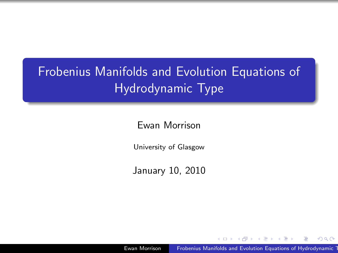# Frobenius Manifolds and Evolution Equations of Hydrodynamic Type

Ewan Morrison

University of Glasgow

January 10, 2010

Ewan Morrison Frobenius Manifolds and Evolution Equations of Hydrodynamic T

<span id="page-0-0"></span> $QQ$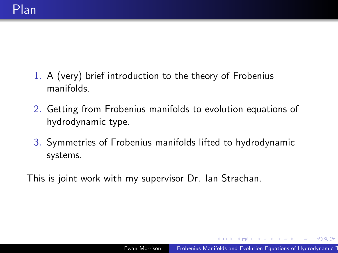- 1. A (very) brief introduction to the theory of Frobenius manifolds.
- 2. Getting from Frobenius manifolds to evolution equations of hydrodynamic type.
- 3. Symmetries of Frobenius manifolds lifted to hydrodynamic systems.

This is joint work with my supervisor Dr. Ian Strachan.

**何 ) ( 三 )** ( 三 )

 $QQ$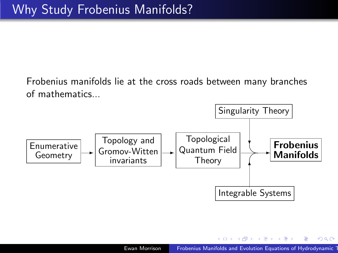Frobenius manifolds lie at the cross roads between many branches of mathematics...



 $x = x$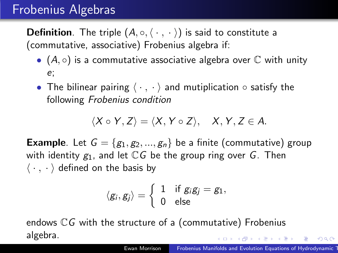#### Frobenius Algebras

**Definition**. The triple  $(A, \circ, \langle \cdot, \cdot \rangle)$  is said to constitute a (commutative, associative) Frobenius algebra if:

- $(A, \circ)$  is a commutative associative algebra over  $\mathbb C$  with unity e;
- The bilinear pairing  $\langle \cdot , \cdot \rangle$  and mutiplication  $\circ$  satisfy the following Frobenius condition

$$
\langle X\circ Y,Z\rangle=\langle X,Y\circ Z\rangle,\quad X,Y,Z\in A.
$$

**Example.** Let  $G = \{g_1, g_2, ..., g_n\}$  be a finite (commutative) group with identity  $g_1$ , and let  $\mathbb{C}G$  be the group ring over G. Then  $\langle \cdot , \cdot \rangle$  defined on the basis by

$$
\langle g_i, g_j \rangle = \left\{ \begin{array}{ll} 1 & \text{if } g_i g_j = g_1, \\ 0 & \text{else} \end{array} \right.
$$

endows  $\mathbb{C}G$  with the structure of a (commutative) Frobenius algebra.  $AB = AB + AB + AB$ 

 $\eta$ an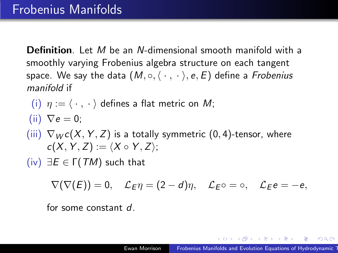Definition. Let M be an N-dimensional smooth manifold with a smoothly varying Frobenius algebra structure on each tangent space. We say the data  $(M, \circ, \langle \cdot, \cdot \rangle, e, E)$  define a Frobenius manifold if

(i) 
$$
\eta := \langle \cdot, \cdot \rangle
$$
 defines a flat metric on M;

(ii) 
$$
\nabla e = 0
$$
;

(iii) 
$$
\nabla_{W}c(X, Y, Z)
$$
 is a totally symmetric (0, 4)-tensor, where  $c(X, Y, Z) := \langle X \circ Y, Z \rangle$ ;

(iv) ∃E ∈ Γ(TM) such that

$$
\nabla(\nabla(E))=0, \quad \mathcal{L}_{E}\eta=(2-d)\eta, \quad \mathcal{L}_{E}\circ=\circ, \quad \mathcal{L}_{E}e=-e,
$$

for some constant d.

つくい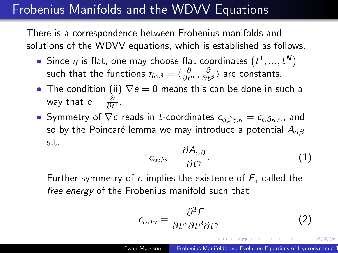### Frobenius Manifolds and the WDVV Equations

There is a correspondence between Frobenius manifolds and solutions of the WDVV equations, which is established as follows.

- Since  $\eta$  is flat, one may choose flat coordinates  $(t^1,...,t^N)$ such that the functions  $\eta_{\alpha\beta}=\langle\frac{\partial}{\partial t^\alpha},\frac{\partial}{\partial t}$  $\frac{\partial}{\partial t^{\beta}}\rangle$  are constants.
- The condition (ii)  $\nabla e = 0$  means this can be done in such a way that  $e=\frac{\partial}{\partial t}$  $\frac{\partial}{\partial t^1}$ .
- Symmetry of  $\nabla c$  reads in *t*-coordinates  $c_{\alpha\beta\gamma,\kappa} = c_{\alpha\beta\kappa,\gamma}$ , and so by the Poincaré lemma we may introduce a potential  $A_{\alpha\beta}$ s.t.

$$
c_{\alpha\beta\gamma} = \frac{\partial A_{\alpha\beta}}{\partial t^{\gamma}}.
$$
 (1)

Further symmetry of  $c$  implies the existence of  $F$ , called the free energy of the Frobenius manifold such that

$$
c_{\alpha\beta\gamma} = \frac{\partial^3 F}{\partial t^\alpha \partial t^\beta \partial t^\gamma}
$$
 (2)

何 ▶ ( 三 ) ( 三 )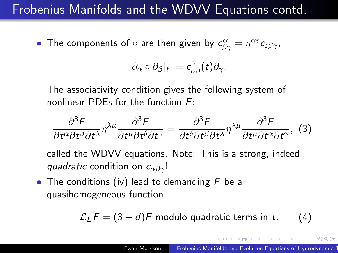### Frobenius Manifolds and the WDVV Equations contd.

• The components of  $\circ$  are then given by  $c^{\alpha}_{\beta\gamma}=\eta^{\alpha\varepsilon}c_{\varepsilon\beta\gamma}$ ,

$$
\partial_{\alpha}\circ\partial_{\beta}|_{t}:=c_{\alpha\beta}^{\gamma}(t)\partial_{\gamma}.
$$

The associativity condition gives the following system of nonlinear PDEs for the function F:

$$
\frac{\partial^3 F}{\partial t^{\alpha}\partial t^{\beta}\partial t^{\lambda}}\eta^{\lambda\mu}\frac{\partial^3 F}{\partial t^{\mu}\partial t^{\delta}\partial t^{\gamma}} = \frac{\partial^3 F}{\partial t^{\delta}\partial t^{\beta}\partial t^{\lambda}}\eta^{\lambda\mu}\frac{\partial^3 F}{\partial t^{\mu}\partial t^{\alpha}\partial t^{\gamma}},
$$
(3)

called the WDVV equations. Note: This is a strong, indeed quadratic condition on  $c_{\alpha\beta\gamma}$ !

• The conditions (iv) lead to demanding  $F$  be a quasihomogeneous function

$$
\mathcal{L}_E F = (3 - d)F
$$
 modulo quadratic terms in t. (4)

母 ト イヨ ト イヨ ト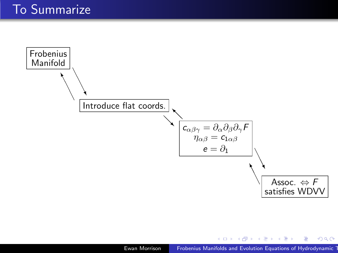

 $\equiv$ 

メスラメ ほんじ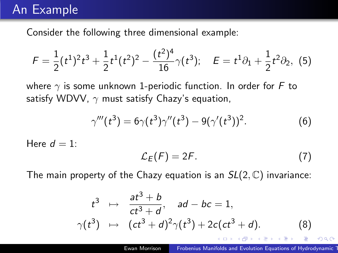#### An Example

Consider the following three dimensional example:

$$
F = \frac{1}{2}(t^1)^2 t^3 + \frac{1}{2}t^1(t^2)^2 - \frac{(t^2)^4}{16}\gamma(t^3); \quad E = t^1 \partial_1 + \frac{1}{2}t^2 \partial_2, \tag{5}
$$

where  $\gamma$  is some unknown 1-periodic function. In order for F to satisfy WDVV,  $\gamma$  must satisfy Chazy's equation,

$$
\gamma'''(t^3) = 6\gamma(t^3)\gamma''(t^3) - 9(\gamma'(t^3))^2.
$$
 (6)

Here  $d = 1$ :

$$
\mathcal{L}_E(F) = 2F. \tag{7}
$$

The main property of the Chazy equation is an  $SL(2,\mathbb{C})$  invariance:

<span id="page-8-0"></span>
$$
t^{3} \mapsto \frac{at^{3} + b}{ct^{3} + d}, \quad ad - bc = 1,
$$
  
\n
$$
\gamma(t^{3}) \mapsto (ct^{3} + d)^{2}\gamma(t^{3}) + 2c(ct^{3} + d).
$$
 (8)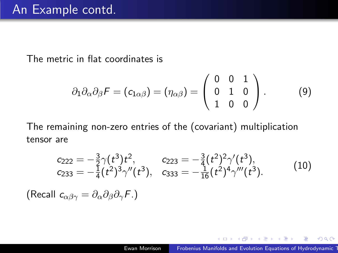The metric in flat coordinates is

$$
\partial_1 \partial_\alpha \partial_\beta F = (c_{1\alpha\beta}) = (\eta_{\alpha\beta}) = \begin{pmatrix} 0 & 0 & 1 \\ 0 & 1 & 0 \\ 1 & 0 & 0 \end{pmatrix}.
$$
 (9)

The remaining non-zero entries of the (covariant) multiplication tensor are

$$
c_{222} = -\frac{3}{2}\gamma(t^3)t^2, \qquad c_{223} = -\frac{3}{4}(t^2)^2\gamma'(t^3), c_{233} = -\frac{1}{4}(t^2)^3\gamma''(t^3), \qquad c_{333} = -\frac{1}{16}(t^2)^4\gamma'''(t^3).
$$
 (10)

(Recall  $c_{\alpha\beta\gamma} = \partial_{\alpha}\partial_{\beta}\partial_{\gamma}F.$ )

 $\mathcal{A} \xrightarrow{\sim} \mathcal{B} \rightarrow \mathcal{A} \xrightarrow{\sim} \mathcal{B} \rightarrow$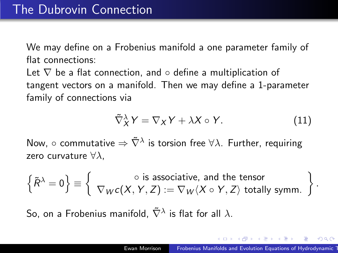We may define on a Frobenius manifold a one parameter family of flat connections:

Let  $\nabla$  be a flat connection, and  $\circ$  define a multiplication of tangent vectors on a manifold. Then we may define a 1-parameter family of connections via

$$
\tilde{\nabla}_X^{\lambda} Y = \nabla_X Y + \lambda X \circ Y. \tag{11}
$$

Now,  $\circ$  commutative  $\Rightarrow \tilde{\nabla}^{\lambda}$  is torsion free  $\forall \lambda$ . Further, requiring zero curvature  $\forall \lambda$ .

 $\left\{\tilde{R}^{\lambda}=0\right\}\equiv \left\{\begin{array}{c} \circ \text{ is associative, and the tensor} \ \nabla_{W}c(X,Y,Z):=\nabla_{W}\langle X\circ Y,Z\rangle \text{ totally symm.}\end{array}\right\}.$ 

So, on a Frobenius manifold,  $\tilde{\nabla}^{\lambda}$  is flat for all  $\lambda.$ 

御 ト イヨ ト イヨ トー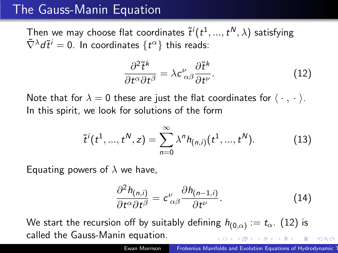### The Gauss-Manin Equation

Then we may choose flat coordinates  $\tilde{t}^i(t^1,...,t^{\mathcal{N}},\lambda)$  satisfying  $\tilde{\nabla}^{\lambda}d\tilde{t}^{i}=0.$  In coordinates  $\{t^{\alpha}\}$  this reads:

<span id="page-11-0"></span>
$$
\frac{\partial^2 \tilde{t}^k}{\partial t^\alpha \partial t^\beta} = \lambda c_{\alpha\beta}^\nu \frac{\partial \tilde{t}^k}{\partial t^\nu}.
$$
 (12)

Note that for  $\lambda = 0$  these are just the flat coordinates for  $\langle \cdot, \cdot \rangle$ . In this spirit, we look for solutions of the form

$$
\tilde{t}^{i}(t^{1},...,t^{N},z)=\sum_{n=0}^{\infty}\lambda^{n}h_{(n,i)}(t^{1},...,t^{N}).
$$
\n(13)

Equating powers of  $\lambda$  we have,

<span id="page-11-1"></span>
$$
\frac{\partial^2 h_{(n,i)}}{\partial t^\alpha \partial t^\beta} = c^{\nu}_{\ \alpha\beta} \frac{\partial h_{(n-1,i)}}{\partial t^{\nu}}.
$$
 (14)

We start the recursion off by suitably defining  $h_{(0,\alpha)}:=t_\alpha.$   $(12)$  is called the Gauss-Manin equation.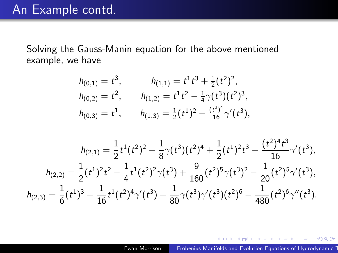Solving the Gauss-Manin equation for the above mentioned example, we have

$$
h_{(0,1)} = t^3, \t h_{(1,1)} = t^1 t^3 + \frac{1}{2} (t^2)^2,
$$
  
\n
$$
h_{(0,2)} = t^2, \t h_{(1,2)} = t^1 t^2 - \frac{1}{4} \gamma (t^3) (t^2)^3,
$$
  
\n
$$
h_{(0,3)} = t^1, \t h_{(1,3)} = \frac{1}{2} (t^1)^2 - \frac{(t^2)^4}{16} \gamma'(t^3),
$$

$$
h_{(2,1)} = \frac{1}{2}t^1(t^2)^2 - \frac{1}{8}\gamma(t^3)(t^2)^4 + \frac{1}{2}(t^1)^2t^3 - \frac{(t^2)^4t^3}{16}\gamma'(t^3),
$$
  
\n
$$
h_{(2,2)} = \frac{1}{2}(t^1)^2t^2 - \frac{1}{4}t^1(t^2)^2\gamma(t^3) + \frac{9}{160}(t^2)^5\gamma(t^3)^2 - \frac{1}{20}(t^2)^5\gamma'(t^3),
$$
  
\n
$$
h_{(2,3)} = \frac{1}{6}(t^1)^3 - \frac{1}{16}t^1(t^2)^4\gamma'(t^3) + \frac{1}{80}\gamma(t^3)\gamma'(t^3)(t^2)^6 - \frac{1}{480}(t^2)^6\gamma''(t^3).
$$

個 ▶ ス ヨ ▶ ス ヨ ▶

 $299$ 

э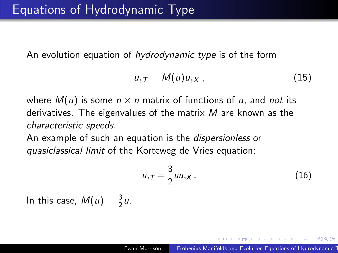An evolution equation of hydrodynamic type is of the form

$$
u_{,T}=M(u)u_{,X},\qquad \qquad (15)
$$

where  $M(u)$  is some  $n \times n$  matrix of functions of u, and not its derivatives. The eigenvalues of the matrix  $M$  are known as the characteristic speeds.

An example of such an equation is the *dispersionless* or quasiclassical limit of the Korteweg de Vries equation:

$$
u_{,\mathcal{T}} = \frac{3}{2}uu_{,\mathcal{X}}\,. \tag{16}
$$

In this case,  $M(u) = \frac{3}{2}u$ .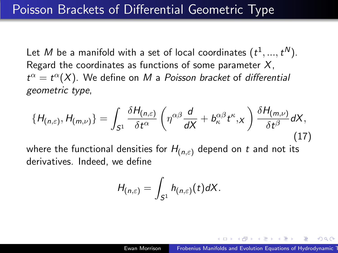Let  $M$  be a manifold with a set of local coordinates  $(t^1,...,t^N).$ Regard the coordinates as functions of some parameter  $X$ ,  $t^{\alpha} = t^{\alpha}(X)$ . We define on M a Poisson bracket of differential geometric type,

<span id="page-14-0"></span>
$$
\{H_{(n,\varepsilon)},H_{(m,\nu)}\}=\int_{S^1}\frac{\delta H_{(n,\varepsilon)}}{\delta t^\alpha}\left(\eta^{\alpha\beta}\frac{d}{dX}+b^{\alpha\beta}_{\kappa}t^{\kappa},X\right)\frac{\delta H_{(m,\nu)}}{\delta t^\beta}dX,\tag{17}
$$

where the functional densities for  $H_{(n,\varepsilon)}$  depend on t and not its derivatives. Indeed, we define

$$
H_{(n,\varepsilon)}=\int_{S^1}h_{(n,\varepsilon)}(t)dX.
$$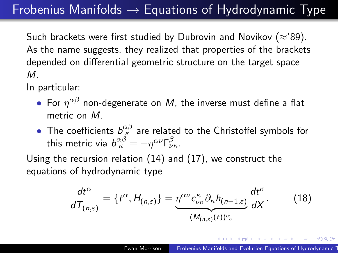## $Frobenius$  Manifolds  $\rightarrow$  Equations of Hydrodynamic Type

Such brackets were first studied by Dubrovin and Novikov ( $\approx$ '89). As the name suggests, they realized that properties of the brackets depended on differential geometric structure on the target space M.

In particular:

- $\bullet$  For  $\eta^{\alpha\beta}$  non-degenerate on  $M$ , the inverse must define a flat metric on M.
- The coefficients  $b^{\alpha\beta}_\kappa$  are related to the Christoffel symbols for this metric via  $b^{\alpha\beta}_\kappa = -\eta^{\alpha\nu}\mathsf{\Gamma}^\beta_{\nu\kappa}$ .

Using the recursion relation [\(14\)](#page-11-1) and [\(17\)](#page-14-0), we construct the equations of hydrodynamic type

$$
\frac{dt^{\alpha}}{dT_{(n,\varepsilon)}}=\lbrace t^{\alpha},H_{(n,\varepsilon)}\rbrace=\underbrace{\eta^{\alpha\nu}c_{\nu\sigma}^{\kappa}\partial_{\kappa}h_{(n-1,\varepsilon)}}_{(M_{(n,\varepsilon)}(t))^{\alpha}\sigma}\frac{dt^{\sigma}}{dX}.
$$
 (18)

ねゃ マミャマミャ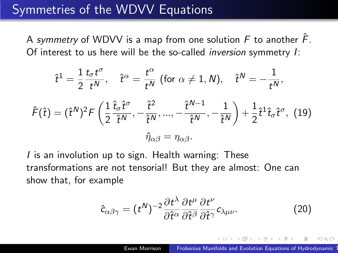### Symmetries of the WDVV Equations

A symmetry of WDVV is a map from one solution  $\ddot{F}$  to another  $\ddot{F}$ . Of interest to us here will be the so-called inversion symmetry I:

$$
\hat{t}^{1} = \frac{1}{2} \frac{t_{\sigma} t^{\sigma}}{t^{N}}, \quad \hat{t}^{\alpha} = \frac{t^{\alpha}}{t^{N}} \text{ (for } \alpha \neq 1, N), \quad \hat{t}^{N} = -\frac{1}{t^{N}},
$$
  

$$
\hat{F}(\hat{t}) = (\hat{t}^{N})^{2} F\left(\frac{1}{2} \frac{\hat{t}_{\sigma} \hat{t}^{\sigma}}{\hat{t}^{N}}, -\frac{\hat{t}^{2}}{\hat{t}^{N}}, \dots, -\frac{\hat{t}^{N-1}}{\hat{t}^{N}}, -\frac{1}{\hat{t}^{N}}\right) + \frac{1}{2} \hat{t}^{1} \hat{t}_{\sigma} \hat{t}^{\sigma}, \quad (19)
$$
  

$$
\hat{\eta}_{\alpha\beta} = \eta_{\alpha\beta}.
$$

<span id="page-16-0"></span>I is an involution up to sign. Health warning: These transformations are not tensorial! But they are almost: One can show that, for example

$$
\hat{c}_{\alpha\beta\gamma} = (t^N)^{-2} \frac{\partial t^\lambda}{\partial \hat{t}^\alpha} \frac{\partial t^\mu}{\partial \hat{t}^\beta} \frac{\partial t^\nu}{\partial \hat{t}^\gamma} c_{\lambda\mu\nu}.
$$
 (20)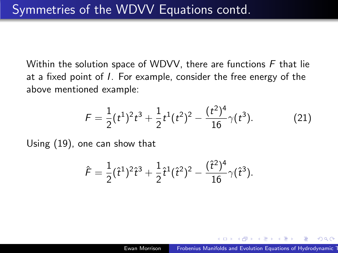Within the solution space of WDVV, there are functions  $F$  that lie at a fixed point of I. For example, consider the free energy of the above mentioned example:

$$
F = \frac{1}{2}(t^1)^2 t^3 + \frac{1}{2}t^1(t^2)^2 - \frac{(t^2)^4}{16}\gamma(t^3).
$$
 (21)

Using [\(19\)](#page-16-0), one can show that

$$
\hat{\mathcal{F}} = \frac{1}{2}(\hat{t}^{1})^{2}\hat{t}^{3} + \frac{1}{2}\hat{t}^{1}(\hat{t}^{2})^{2} - \frac{(\hat{t}^{2})^{4}}{16}\gamma(\hat{t}^{3}).
$$

つくい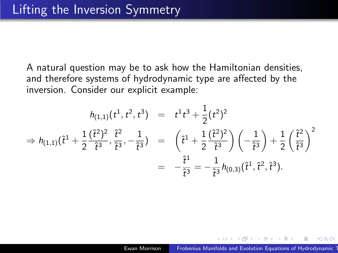A natural question may be to ask how the Hamiltonian densities, and therefore systems of hydrodynamic type are affected by the inversion. Consider our explicit example:

$$
h_{(1,1)}(t^1, t^2, t^3) = t^1 t^3 + \frac{1}{2} (t^2)^2
$$
  
\n
$$
\Rightarrow h_{(1,1)}(\hat{t}^1 + \frac{1}{2} \frac{(\hat{t}^2)^2}{\hat{t}^3}, \frac{\hat{t}^2}{\hat{t}^3}, -\frac{1}{\hat{t}^3}) = (\hat{t}^1 + \frac{1}{2} \frac{(\hat{t}^2)^2}{\hat{t}^3}) (-\frac{1}{\hat{t}^3}) + \frac{1}{2} (\frac{\hat{t}^2}{\hat{t}^3})^2
$$
  
\n
$$
= -\frac{\hat{t}^1}{\hat{t}^3} = -\frac{1}{\hat{t}^3} h_{(0,3)}(\hat{t}^1, \hat{t}^2, \hat{t}^3).
$$

- 4 重 8 34 重 8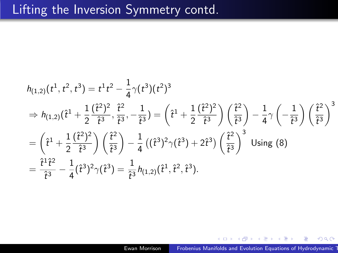#### Lifting the Inversion Symmetry contd.

$$
h_{(1,2)}(t^1, t^2, t^3) = t^1 t^2 - \frac{1}{4} \gamma(t^3) (t^2)^3
$$
  
\n
$$
\Rightarrow h_{(1,2)}(\hat{t}^1 + \frac{1}{2} \frac{(\hat{t}^2)^2}{\hat{t}^3}, \frac{\hat{t}^2}{\hat{t}^3}, -\frac{1}{\hat{t}^3}) = (\hat{t}^1 + \frac{1}{2} \frac{(\hat{t}^2)^2}{\hat{t}^3}) (\frac{\hat{t}^2}{\hat{t}^3}) - \frac{1}{4} \gamma(-\frac{1}{\hat{t}^3}) (\frac{\hat{t}^2}{\hat{t}^3})^3
$$
  
\n
$$
= (\hat{t}^1 + \frac{1}{2} \frac{(\hat{t}^2)^2}{\hat{t}^3}) (\frac{\hat{t}^2}{\hat{t}^3}) - \frac{1}{4} ((\hat{t}^3)^2 \gamma(\hat{t}^3) + 2\hat{t}^3) (\frac{\hat{t}^2}{\hat{t}^3})^3 \text{ Using (8)}
$$
  
\n
$$
= \frac{\hat{t}^1 \hat{t}^2}{\hat{t}^3} - \frac{1}{4} (\hat{t}^3)^2 \gamma(\hat{t}^3) = \frac{1}{\hat{t}^3} h_{(1,2)}(\hat{t}^1, \hat{t}^2, \hat{t}^3).
$$

∢ 重 ≯

つくへ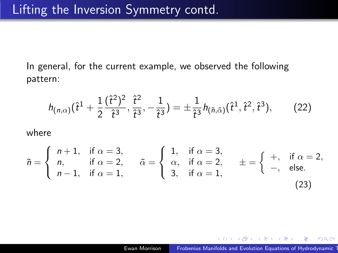In general, for the current example, we observed the following pattern:

$$
h_{(n,\alpha)}(\hat{t}^1+\frac{1}{2}\frac{(\hat{t}^2)^2}{\hat{t}^3},\frac{\hat{t}^2}{\hat{t}^3},-\frac{1}{\hat{t}^3})=\pm\frac{1}{\hat{t}^3}h_{(\tilde{n},\tilde{\alpha})}(\hat{t}^1,\hat{t}^2,\hat{t}^3),\qquad(22)
$$

where

$$
\tilde{n} = \begin{cases}\n n+1, & \text{if } \alpha = 3, \\
n, & \text{if } \alpha = 2, \\
n-1, & \text{if } \alpha = 1,\n\end{cases}\n\qquad\n\tilde{\alpha} = \begin{cases}\n 1, & \text{if } \alpha = 3, \\
\alpha, & \text{if } \alpha = 2, \\
3, & \text{if } \alpha = 1,\n\end{cases}\n\qquad\n\pm = \begin{cases}\n +, & \text{if } \alpha = 2, \\
-, & \text{else.}\n\end{cases}
$$
\n
$$
(23)
$$

医毛毛 医三角

 $QQ$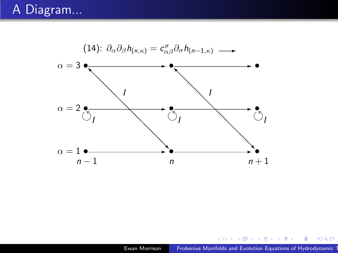#### A Diagram...



メロメ メ御 メメ きょくきょう

 $\equiv$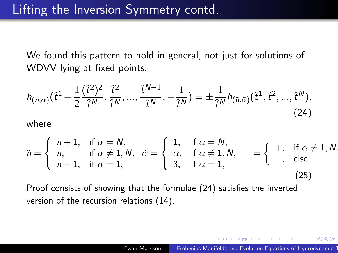We found this pattern to hold in general, not just for solutions of WDVV lying at fixed points:

<span id="page-22-0"></span>
$$
h_{(n,\alpha)}(\hat{t}^1+\frac{1}{2}\frac{(\hat{t}^2)^2}{\hat{t}^N},\frac{\hat{t}^2}{\hat{t}^N},...,\frac{\hat{t}^{N-1}}{\hat{t}^N},-\frac{1}{\hat{t}^N})=\pm\frac{1}{\hat{t}^N}h_{(\tilde{n},\tilde{\alpha})}(\hat{t}^1,\hat{t}^2,...,\hat{t}^N),
$$
\n(24)

where

$$
\tilde{n} = \begin{cases}\n n+1, & \text{if } \alpha = N, \\
n, & \text{if } \alpha \neq 1, N, \\
n-1, & \text{if } \alpha = 1,\n\end{cases}\n\qquad\n\begin{cases}\n 1, & \text{if } \alpha = N, \\
\alpha, & \text{if } \alpha \neq 1, N, \\
3, & \text{if } \alpha = 1,\n\end{cases}\n\qquad\n\begin{cases}\n +, & \text{if } \alpha \neq 1, N, \\
-, & \text{else.}\n\end{cases}
$$
\n
$$
(25)
$$

Proof consists of showing that the formulae [\(24\)](#page-22-0) satisfies the inverted version of the recursion relations [\(14\)](#page-11-1).

 $\mathbb{R}^d \times \mathbb{R}^d \xrightarrow{\mathbb{R}^d} \mathbb{R}^d \times \mathbb{R}^d \xrightarrow{\mathbb{R}^d} \mathbb{R}^d$ 

 $QQ$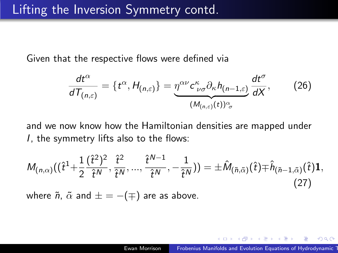Given that the respective flows were defined via

$$
\frac{dt^{\alpha}}{dT_{(n,\varepsilon)}}=\lbrace t^{\alpha},H_{(n,\varepsilon)}\rbrace=\underbrace{\eta^{\alpha\nu}c^{\kappa}_{\nu\sigma}\partial_{\kappa}h_{(n-1,\varepsilon)}}_{(M_{(n,\varepsilon)}(t))^{\alpha}_{\sigma}}\frac{dt^{\sigma}}{dX},\qquad(26)
$$

and we now know how the Hamiltonian densities are mapped under I, the symmetry lifts also to the flows:

$$
M_{(n,\alpha)}((\hat{t}^{1}+\frac{1}{2}\frac{(\hat{t}^{2})^{2}}{\hat{t}^{N}},\frac{\hat{t}^{2}}{\hat{t}^{N}},...,\frac{\hat{t}^{N-1}}{\hat{t}^{N}},-\frac{1}{\hat{t}^{N}}))=\pm \hat{M}_{(\tilde{n},\tilde{\alpha})}(\hat{t})\mp \hat{h}_{(\tilde{n}-1,\tilde{\alpha})}(\hat{t})\mathbf{1},
$$
\nwhere  $\tilde{n}, \tilde{\alpha}$  and  $\pm = -(\mp)$  are as above. (27)

 $\mathcal{A} \xrightarrow{\sim} \mathcal{B} \rightarrow \mathcal{A} \xrightarrow{\sim} \mathcal{B}$ 

 $\Omega$